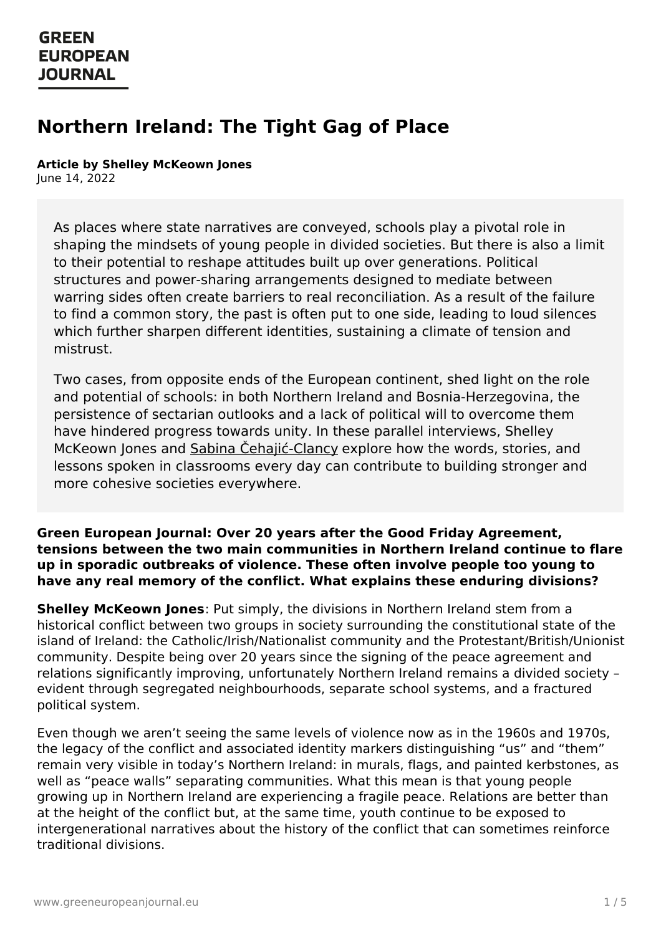# **Northern Ireland: The Tight Gag of Place**

#### **Article by Shelley McKeown Jones** June 14, 2022

As places where state narratives are conveyed, schools play a pivotal role in shaping the mindsets of young people in divided societies. But there is also a limit to their potential to reshape attitudes built up over generations. Political structures and power-sharing arrangements designed to mediate between warring sides often create barriers to real reconciliation. As a result of the failure to find a common story, the past is often put to one side, leading to loud silences which further sharpen different identities, sustaining a climate of tension and mistrust.

Two cases, from opposite ends of the European continent, shed light on the role and potential of schools: in both Northern Ireland and Bosnia-Herzegovina, the persistence of sectarian outlooks and a lack of political will to overcome them have hindered progress towards unity. In these parallel interviews, Shelley McKeown Jones and Sabina Cehajić-Clancy explore how the words, stories, and lessons spoken in classrooms every day can contribute to building stronger and more cohesive societies everywhere.

#### **Green European Journal: Over 20 years after the Good Friday Agreement, tensions between the two main communities in Northern Ireland continue to flare up in sporadic outbreaks of violence. These often involve people too young to have any real memory of the conflict. What explains these enduring divisions?**

**Shelley McKeown Jones**: Put simply, the divisions in Northern Ireland stem from a historical conflict between two groups in society surrounding the constitutional state of the island of Ireland: the Catholic/Irish/Nationalist community and the Protestant/British/Unionist community. Despite being over 20 years since the signing of the peace agreement and relations significantly improving, unfortunately Northern Ireland remains a divided society – evident through segregated neighbourhoods, separate school systems, and a fractured political system.

Even though we aren't seeing the same levels of violence now as in the 1960s and 1970s, the legacy of the conflict and associated identity markers distinguishing "us" and "them" remain very visible in today's Northern Ireland: in murals, flags, and painted kerbstones, as well as ["peace](https://www.greeneuropeanjournal.eu) walls" separating communities. What this mean is that young people growing up in Northern Ireland are experiencing a fragile peace. Relations are better than at the height of the conflict but, at the same time, youth continue to be exposed to intergenerational narratives about the history of the conflict that can sometimes reinforce traditional divisions.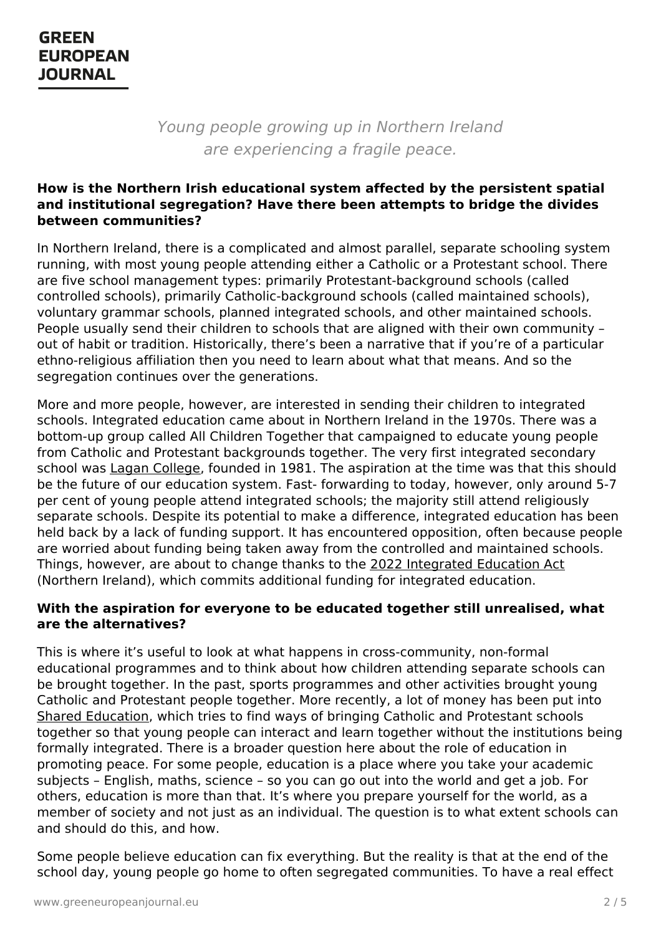Young people growing up in Northern Ireland are experiencing a fragile peace.

#### **How is the Northern Irish educational system affected by the persistent spatial and institutional segregation? Have there been attempts to bridge the divides between communities?**

In Northern Ireland, there is a complicated and almost parallel, separate schooling system running, with most young people attending either a Catholic or a Protestant school. There are five school management types: primarily Protestant-background schools (called controlled schools), primarily Catholic-background schools (called maintained schools), voluntary grammar schools, planned integrated schools, and other maintained schools. People usually send their children to schools that are aligned with their own community – out of habit or tradition. Historically, there's been a narrative that if you're of a particular ethno-religious affiliation then you need to learn about what that means. And so the segregation continues over the generations.

More and more people, however, are interested in sending their children to integrated schools. Integrated education came about in Northern Ireland in the 1970s. There was a bottom-up group called All Children Together that campaigned to educate young people from Catholic and Protestant backgrounds together. The very first integrated secondary school was Lagan [College](https://www.belfastlive.co.uk/news/northern-ireland/lagan-college-40-first-students-21530072), founded in 1981. The aspiration at the time was that this should be the future of our education system. Fast- forwarding to today, however, only around 5-7 per cent of young people attend integrated schools; the majority still attend religiously separate schools. Despite its potential to make a difference, integrated education has been held back by a lack of funding support. It has encountered opposition, often because people are worried about funding being taken away from the controlled and maintained schools. Things, however, are about to change thanks to the 2022 [Integrated](https://www.bbc.com/news/uk-northern-ireland-60682540) Education Act (Northern Ireland), which commits additional funding for integrated education.

#### **With the aspiration for everyone to be educated together still unrealised, what are the alternatives?**

This is where it's useful to look at what happens in cross-community, non-formal educational programmes and to think about how children attending separate schools can be brought together. In the past, sports programmes and other activities brought young Catholic and Protestant people together. More recently, a lot of money has been put into Shared [Education](https://www.sharededucation.org.uk/), which tries to find ways of bringing Catholic and Protestant schools together so that young people can interact and learn together without the institutions being formally integrated. There is a broader question here about the role of education in promoting peace. For some people, education is a place where you take your academic [subjects](https://www.greeneuropeanjournal.eu) – English, maths, science – so you can go out into the world and get a job. For others, education is more than that. It's where you prepare yourself for the world, as a member of society and not just as an individual. The question is to what extent schools can and should do this, and how.

Some people believe education can fix everything. But the reality is that at the end of the school day, young people go home to often segregated communities. To have a real effect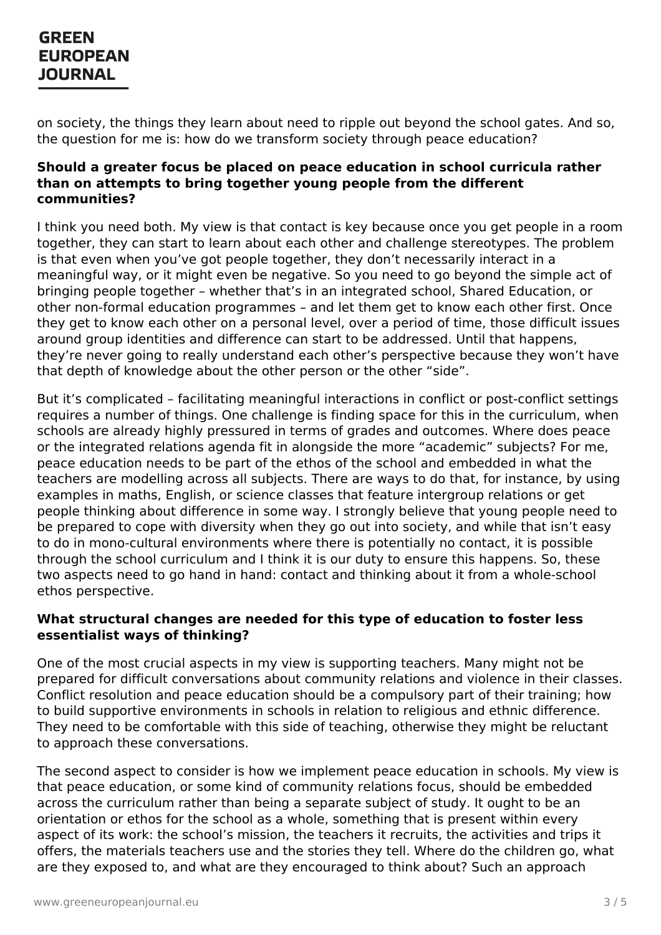on society, the things they learn about need to ripple out beyond the school gates. And so, the question for me is: how do we transform society through peace education?

#### **Should a greater focus be placed on peace education in school curricula rather than on attempts to bring together young people from the different communities?**

I think you need both. My view is that contact is key because once you get people in a room together, they can start to learn about each other and challenge stereotypes. The problem is that even when you've got people together, they don't necessarily interact in a meaningful way, or it might even be negative. So you need to go beyond the simple act of bringing people together – whether that's in an integrated school, Shared Education, or other non-formal education programmes – and let them get to know each other first. Once they get to know each other on a personal level, over a period of time, those difficult issues around group identities and difference can start to be addressed. Until that happens, they're never going to really understand each other's perspective because they won't have that depth of knowledge about the other person or the other "side".

But it's complicated – facilitating meaningful interactions in conflict or post-conflict settings requires a number of things. One challenge is finding space for this in the curriculum, when schools are already highly pressured in terms of grades and outcomes. Where does peace or the integrated relations agenda fit in alongside the more "academic" subjects? For me, peace education needs to be part of the ethos of the school and embedded in what the teachers are modelling across all subjects. There are ways to do that, for instance, by using examples in maths, English, or science classes that feature intergroup relations or get people thinking about difference in some way. I strongly believe that young people need to be prepared to cope with diversity when they go out into society, and while that isn't easy to do in mono-cultural environments where there is potentially no contact, it is possible through the school curriculum and I think it is our duty to ensure this happens. So, these two aspects need to go hand in hand: contact and thinking about it from a whole-school ethos perspective.

#### **What structural changes are needed for this type of education to foster less essentialist ways of thinking?**

One of the most crucial aspects in my view is supporting teachers. Many might not be prepared for difficult conversations about community relations and violence in their classes. Conflict resolution and peace education should be a compulsory part of their training; how to build supportive environments in schools in relation to religious and ethnic difference. They need to be comfortable with this side of teaching, otherwise they might be reluctant to approach these conversations.

The second aspect to consider is how we implement peace education in schools. My view is that peace [education,](https://www.greeneuropeanjournal.eu) or some kind of community relations focus, should be embedded across the curriculum rather than being a separate subject of study. It ought to be an orientation or ethos for the school as a whole, something that is present within every aspect of its work: the school's mission, the teachers it recruits, the activities and trips it offers, the materials teachers use and the stories they tell. Where do the children go, what are they exposed to, and what are they encouraged to think about? Such an approach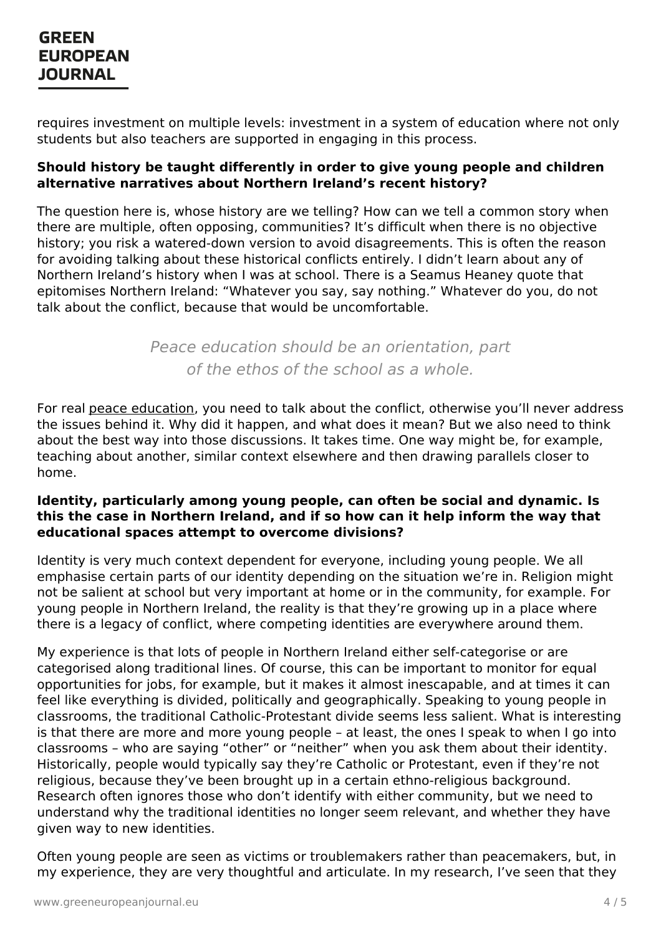requires investment on multiple levels: investment in a system of education where not only students but also teachers are supported in engaging in this process.

### **Should history be taught differently in order to give young people and children alternative narratives about Northern Ireland's recent history?**

The question here is, whose history are we telling? How can we tell a common story when there are multiple, often opposing, communities? It's difficult when there is no objective history; you risk a watered-down version to avoid disagreements. This is often the reason for avoiding talking about these historical conflicts entirely. I didn't learn about any of Northern Ireland's history when I was at school. There is a Seamus Heaney quote that epitomises Northern Ireland: "Whatever you say, say nothing." Whatever do you, do not talk about the conflict, because that would be uncomfortable.

> Peace education should be an orientation, part of the ethos of the school as a whole.

For real peace [education](https://www.greeneuropeanjournal.eu/why-peace-education-deserves-a-place-in-europes-education-systems/), you need to talk about the conflict, otherwise you'll never address the issues behind it. Why did it happen, and what does it mean? But we also need to think about the best way into those discussions. It takes time. One way might be, for example, teaching about another, similar context elsewhere and then drawing parallels closer to home.

#### **Identity, particularly among young people, can often be social and dynamic. Is this the case in Northern Ireland, and if so how can it help inform the way that educational spaces attempt to overcome divisions?**

Identity is very much context dependent for everyone, including young people. We all emphasise certain parts of our identity depending on the situation we're in. Religion might not be salient at school but very important at home or in the community, for example. For young people in Northern Ireland, the reality is that they're growing up in a place where there is a legacy of conflict, where competing identities are everywhere around them.

My experience is that lots of people in Northern Ireland either self-categorise or are categorised along traditional lines. Of course, this can be important to monitor for equal opportunities for jobs, for example, but it makes it almost inescapable, and at times it can feel like everything is divided, politically and geographically. Speaking to young people in classrooms, the traditional Catholic-Protestant divide seems less salient. What is interesting is that there are more and more young people – at least, the ones I speak to when I go into classrooms – who are saying "other" or "neither" when you ask them about their identity. Historically, people would typically say they're Catholic or Protestant, even if they're not [religious,](https://www.greeneuropeanjournal.eu) because they've been brought up in a certain ethno-religious background. Research often ignores those who don't identify with either community, but we need to understand why the traditional identities no longer seem relevant, and whether they have given way to new identities.

Often young people are seen as victims or troublemakers rather than peacemakers, but, in my experience, they are very thoughtful and articulate. In my research, I've seen that they